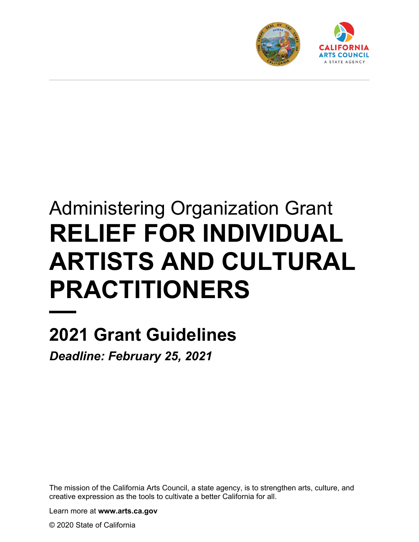

# Administering Organization Grant **RELIEF FOR INDIVIDUAL ARTISTS AND CULTURAL PRACTITIONERS**

# **2021 Grant Guidelines**

*Deadline: February 25, 2021*

The mission of the California Arts Council, a state agency, is to strengthen arts, culture, and creative expression as the tools to cultivate a better California for all.

Learn more at **www.arts.ca.gov**

© 2020 State of California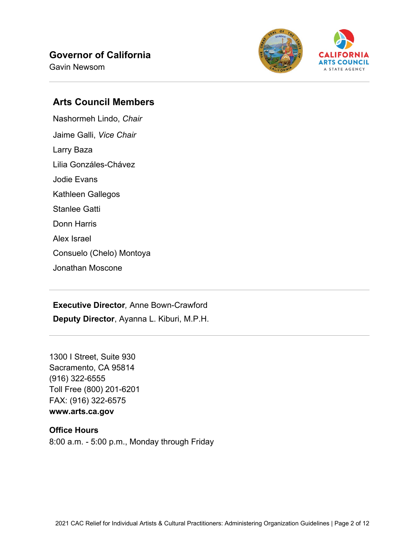#### **Governor of California**

Gavin Newsom



#### **Arts Council Members**

Nashormeh Lindo, *Chair* Jaime Galli, *Vice Chair* Larry Baza Lilia Gonzáles-Chávez Jodie Evans Kathleen Gallegos Stanlee Gatti Donn Harris Alex Israel Consuelo (Chelo) Montoya Jonathan Moscone

**Executive Director***,* Anne Bown-Crawford **Deputy Director**, Ayanna L. Kiburi, M.P.H.

1300 I Street, Suite 930 Sacramento, CA 95814 (916) 322-6555 Toll Free (800) 201-6201 FAX: (916) 322-6575 **www.arts.ca.gov**

#### **Office Hours** 8:00 a.m. - 5:00 p.m., Monday through Friday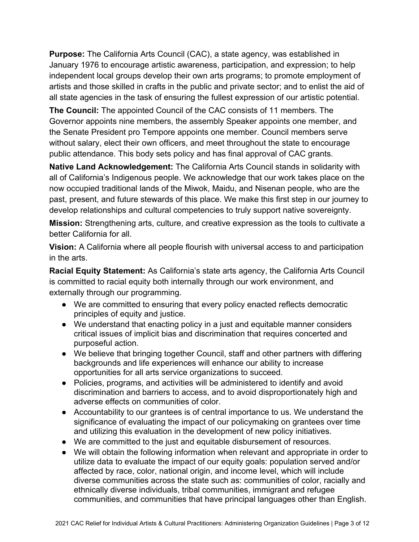**Purpose:** The California Arts Council (CAC), a state agency, was established in January 1976 to encourage artistic awareness, participation, and expression; to help independent local groups develop their own arts programs; to promote employment of artists and those skilled in crafts in the public and private sector; and to enlist the aid of all state agencies in the task of ensuring the fullest expression of our artistic potential.

**The Council:** The appointed Council of the CAC consists of 11 members. The Governor appoints nine members, the assembly Speaker appoints one member, and the Senate President pro Tempore appoints one member. Council members serve without salary, elect their own officers, and meet throughout the state to encourage public attendance. This body sets policy and has final approval of CAC grants.

**Native Land Acknowledgement:** The California Arts Council stands in solidarity with all of California's Indigenous people. We acknowledge that our work takes place on the now occupied traditional lands of the Miwok, Maidu, and Nisenan people, who are the past, present, and future stewards of this place. We make this first step in our journey to develop relationships and cultural competencies to truly support native sovereignty.

**Mission:** Strengthening arts, culture, and creative expression as the tools to cultivate a better California for all.

**Vision:** A California where all people flourish with universal access to and participation in the arts.

**Racial Equity Statement:** As California's state arts agency, the California Arts Council is committed to racial equity both internally through our work environment, and externally through our programming.

- We are committed to ensuring that every policy enacted reflects democratic principles of equity and justice.
- We understand that enacting policy in a just and equitable manner considers critical issues of implicit bias and discrimination that requires concerted and purposeful action.
- We believe that bringing together Council, staff and other partners with differing backgrounds and life experiences will enhance our ability to increase opportunities for all arts service organizations to succeed.
- Policies, programs, and activities will be administered to identify and avoid discrimination and barriers to access, and to avoid disproportionately high and adverse effects on communities of color.
- Accountability to our grantees is of central importance to us. We understand the significance of evaluating the impact of our policymaking on grantees over time and utilizing this evaluation in the development of new policy initiatives.
- We are committed to the just and equitable disbursement of resources.
- We will obtain the following information when relevant and appropriate in order to utilize data to evaluate the impact of our equity goals: population served and/or affected by race, color, national origin, and income level, which will include diverse communities across the state such as: communities of color, racially and ethnically diverse individuals, tribal communities, immigrant and refugee communities, and communities that have principal languages other than English.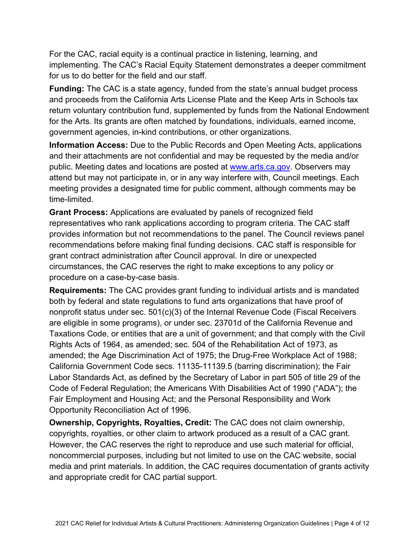For the CAC, racial equity is a continual practice in listening, learning, and implementing. The CAC's Racial Equity Statement demonstrates a deeper commitment for us to do better for the field and our staff.

**Funding:** The CAC is a state agency, funded from the state's annual budget process and proceeds from the California Arts License Plate and the Keep Arts in Schools tax return voluntary contribution fund, supplemented by funds from the National Endowment for the Arts. Its grants are often matched by foundations, individuals, earned income, government agencies, in-kind contributions, or other organizations.

**Information Access:** Due to the Public Records and Open Meeting Acts, applications and their attachments are not confidential and may be requested by the media and/or public. Meeting dates and locations are posted at [www.arts.ca.gov.](http://www.arts.ca.gov/) Observers may attend but may not participate in, or in any way interfere with, Council meetings. Each meeting provides a designated time for public comment, although comments may be time-limited.

**Grant Process:** Applications are evaluated by panels of recognized field representatives who rank applications according to program criteria. The CAC staff provides information but not recommendations to the panel. The Council reviews panel recommendations before making final funding decisions. CAC staff is responsible for grant contract administration after Council approval. In dire or unexpected circumstances, the CAC reserves the right to make exceptions to any policy or procedure on a case-by-case basis.

**Requirements:** The CAC provides grant funding to individual artists and is mandated both by federal and state regulations to fund arts organizations that have proof of nonprofit status under sec. 501(c)(3) of the Internal Revenue Code (Fiscal Receivers are eligible in some programs), or under sec. 23701d of the California Revenue and Taxations Code, or entities that are a unit of government; and that comply with the Civil Rights Acts of 1964, as amended; sec. 504 of the Rehabilitation Act of 1973, as amended; the Age Discrimination Act of 1975; the Drug-Free Workplace Act of 1988; California Government Code secs. 11135-11139.5 (barring discrimination); the Fair Labor Standards Act, as defined by the Secretary of Labor in part 505 of title 29 of the Code of Federal Regulation; the Americans With Disabilities Act of 1990 ("ADA"); the Fair Employment and Housing Act; and the Personal Responsibility and Work Opportunity Reconciliation Act of 1996.

**Ownership, Copyrights, Royalties, Credit:** The CAC does not claim ownership, copyrights, royalties, or other claim to artwork produced as a result of a CAC grant. However, the CAC reserves the right to reproduce and use such material for official, noncommercial purposes, including but not limited to use on the CAC website, social media and print materials. In addition, the CAC requires documentation of grants activity and appropriate credit for CAC partial support.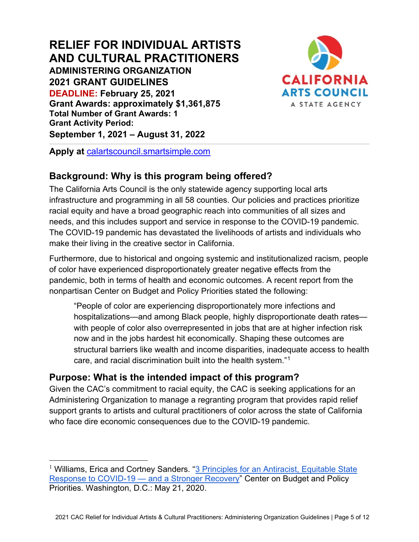#### **RELIEF FOR INDIVIDUAL ARTISTS AND CULTURAL PRACTITIONERS ADMINISTERING ORGANIZATION 2021 GRANT GUIDELINES DEADLINE: February 25, 2021 Grant Awards: approximately \$1,361,875 Total Number of Grant Awards: 1 Grant Activity Period: September 1, 2021 – August 31, 2022**



**Apply at** [calartscouncil.smartsimple.com](https://calartscouncil.smartsimple.com/)

# **Background: Why is this program being offered?**

The California Arts Council is the only statewide agency supporting local arts infrastructure and programming in all 58 counties. Our policies and practices prioritize racial equity and have a broad geographic reach into communities of all sizes and needs, and this includes support and service in response to the COVID-19 pandemic. The COVID-19 pandemic has devastated the livelihoods of artists and individuals who make their living in the creative sector in California.

Furthermore, due to historical and ongoing systemic and institutionalized racism, people of color have experienced disproportionately greater negative effects from the pandemic, both in terms of health and economic outcomes. A recent report from the nonpartisan Center on Budget and Policy Priorities stated the following:

"People of color are experiencing disproportionately more infections and hospitalizations—and among Black people, highly disproportionate death rates with people of color also overrepresented in jobs that are at higher infection risk now and in the jobs hardest hit economically. Shaping these outcomes are structural barriers like wealth and income disparities, inadequate access to health care, and racial discrimination built into the health system."[1](#page-4-0)

# **Purpose: What is the intended impact of this program?**

Given the CAC's commitment to racial equity, the CAC is seeking applications for an Administering Organization to manage a regranting program that provides rapid relief support grants to artists and cultural practitioners of color across the state of California who face dire economic consequences due to the COVID-19 pandemic.

<span id="page-4-0"></span><sup>&</sup>lt;sup>1</sup> Williams, Erica and Cortney Sanders. "3 Principles for an Antiracist, Equitable State [Response to COVID-19 —](https://www.cbpp.org/research/state-budget-and-tax/3-principles-for-an-anti-racist-equitable-state-response-to-covid-19) and a Stronger Recovery" Center on Budget and Policy Priorities. Washington, D.C.: May 21, 2020.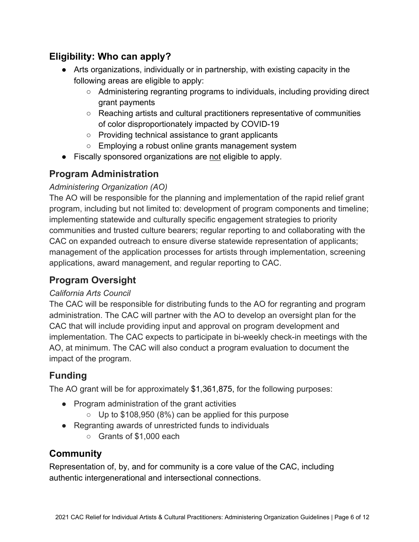# **Eligibility: Who can apply?**

- Arts organizations, individually or in partnership, with existing capacity in the following areas are eligible to apply:
	- Administering regranting programs to individuals, including providing direct grant payments
	- Reaching artists and cultural practitioners representative of communities of color disproportionately impacted by COVID-19
	- Providing technical assistance to grant applicants
	- Employing a robust online grants management system
- Fiscally sponsored organizations are not eligible to apply.

# **Program Administration**

#### *Administering Organization (AO)*

The AO will be responsible for the planning and implementation of the rapid relief grant program, including but not limited to: development of program components and timeline; implementing statewide and culturally specific engagement strategies to priority communities and trusted culture bearers; regular reporting to and collaborating with the CAC on expanded outreach to ensure diverse statewide representation of applicants; management of the application processes for artists through implementation, screening applications, award management, and regular reporting to CAC.

# **Program Oversight**

#### *California Arts Council*

The CAC will be responsible for distributing funds to the AO for regranting and program administration. The CAC will partner with the AO to develop an oversight plan for the CAC that will include providing input and approval on program development and implementation. The CAC expects to participate in bi-weekly check-in meetings with the AO, at minimum. The CAC will also conduct a program evaluation to document the impact of the program.

# **Funding**

The AO grant will be for approximately \$1,361,875, for the following purposes:

- Program administration of the grant activities
	- $\circ$  Up to \$108,950 (8%) can be applied for this purpose
- Regranting awards of unrestricted funds to individuals
	- Grants of \$1,000 each

# **Community**

Representation of, by, and for community is a core value of the CAC, including authentic intergenerational and intersectional connections.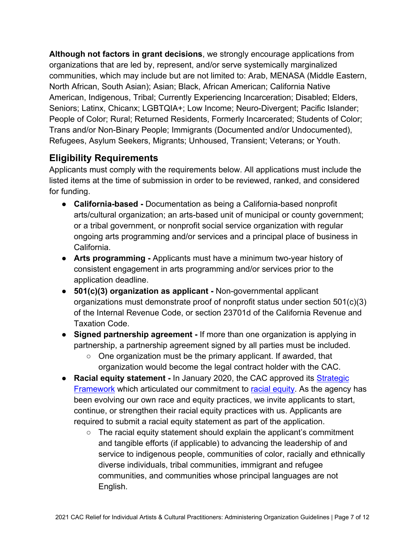**Although not factors in grant decisions**, we strongly encourage applications from organizations that are led by, represent, and/or serve systemically marginalized communities, which may include but are not limited to: Arab, MENASA (Middle Eastern, North African, South Asian); Asian; Black, African American; California Native American, Indigenous, Tribal; Currently Experiencing Incarceration; Disabled; Elders, Seniors; Latinx, Chicanx; LGBTQIA+; Low Income; Neuro-Divergent; Pacific Islander; People of Color; Rural; Returned Residents, Formerly Incarcerated; Students of Color; Trans and/or Non-Binary People; Immigrants (Documented and/or Undocumented), Refugees, Asylum Seekers, Migrants; Unhoused, Transient; Veterans; or Youth.

# **Eligibility Requirements**

Applicants must comply with the requirements below. All applications must include the listed items at the time of submission in order to be reviewed, ranked, and considered for funding.

- **California-based -** Documentation as being a California-based nonprofit arts/cultural organization; an arts-based unit of municipal or county government; or a tribal government, or nonprofit social service organization with regular ongoing arts programming and/or services and a principal place of business in California.
- **Arts programming -** Applicants must have a minimum two-year history of consistent engagement in arts programming and/or services prior to the application deadline.
- **501(c)(3) organization as applicant -** Non-governmental applicant organizations must demonstrate proof of nonprofit status under section 501(c)(3) of the Internal Revenue Code, or section 23701d of the California Revenue and Taxation Code.
- **Signed partnership agreement -** If more than one organization is applying in partnership, a partnership agreement signed by all parties must be included.
	- One organization must be the primary applicant. If awarded, that organization would become the legal contract holder with the CAC.
- **Racial equity [s](http://www.arts.ca.gov/aboutus/strategicframework.php)tatement -** In January 2020, the CAC approved its **Strategic** [Framework](https://arts.ca.gov/about/how-we-think/) which articulated our commitment t[o](http://www.arts.ca.gov/aboutus/racialequity.php) [racial equity.](https://arts.ca.gov/about/racial-equity-statement/) As the agency has been evolving our own race and equity practices, we invite applicants to start, continue, or strengthen their racial equity practices with us. Applicants are required to submit a racial equity statement as part of the application.
	- The racial equity statement should explain the applicant's commitment and tangible efforts (if applicable) to advancing the leadership of and service to indigenous people, communities of color, racially and ethnically diverse individuals, tribal communities, immigrant and refugee communities, and communities whose principal languages are not English.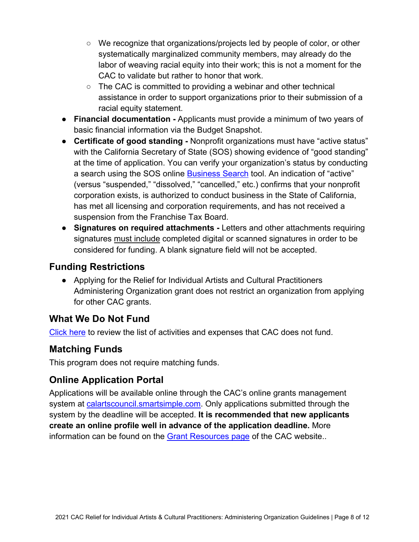- We recognize that organizations/projects led by people of color, or other systematically marginalized community members, may already do the labor of weaving racial equity into their work; this is not a moment for the CAC to validate but rather to honor that work.
- The CAC is committed to providing a webinar and other technical assistance in order to support organizations prior to their submission of a racial equity statement.
- **Financial documentation -** Applicants must provide a minimum of two years of basic financial information via the Budget Snapshot.
- **Certificate of good standing -** Nonprofit organizations must have "active status" with the California Secretary of State (SOS) showing evidence of "good standing" at the time of application. You can verify your organization's status by conducting a search using the SOS online [Business Search](https://businesssearch.sos.ca.gov/) tool. An indication of "active" (versus "suspended," "dissolved," "cancelled," etc.) confirms that your nonprofit corporation exists, is authorized to conduct business in the State of California, has met all licensing and corporation requirements, and has not received a suspension from the Franchise Tax Board.
- **Signatures on required attachments -** Letters and other attachments requiring signatures must include completed digital or scanned signatures in order to be considered for funding. A blank signature field will not be accepted.

# **Funding Restrictions**

● Applying for the Relief for Individual Artists and Cultural Practitioners Administering Organization grant does not restrict an organization from applying for other CAC grants.

# **What We Do Not Fund**

[Click here](https://arts.ca.gov/wp-content/uploads/2020/11/CAC_2021_WhatDoNotFund.pdf) to review the list of activities and expenses that CAC does not fund.

# **Matching Funds**

This program does not require matching funds.

# **Online Application Portal**

Applications will be available online through the CAC's online grants management system at [calartscouncil.smartsimple.com.](https://calartscouncil.smartsimple.com/s_Login.jsp) Only applications submitted through the system by the deadline will be accepted. **It is recommended that new applicants create an online profile well in advance of the application deadline.** More information can be found on the Grant [Resources page](https://arts.ca.gov/grants/resources/) of the CAC website..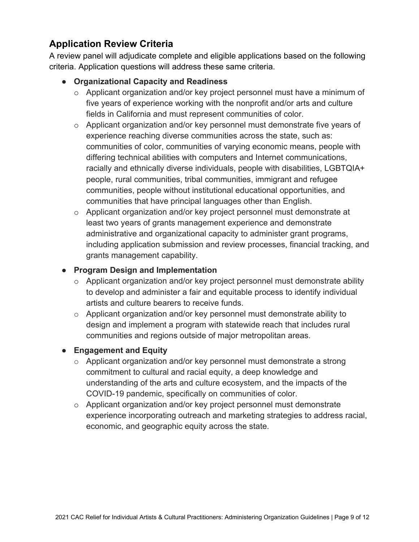# **Application Review Criteria**

A review panel will adjudicate complete and eligible applications based on the following criteria. Application questions will address these same criteria.

#### ● **Organizational Capacity and Readiness**

- o Applicant organization and/or key project personnel must have a minimum of five years of experience working with the nonprofit and/or arts and culture fields in California and must represent communities of color.
- o Applicant organization and/or key personnel must demonstrate five years of experience reaching diverse communities across the state, such as: communities of color, communities of varying economic means, people with differing technical abilities with computers and Internet communications, racially and ethnically diverse individuals, people with disabilities, LGBTQIA+ people, rural communities, tribal communities, immigrant and refugee communities, people without institutional educational opportunities, and communities that have principal languages other than English.
- o Applicant organization and/or key project personnel must demonstrate at least two years of grants management experience and demonstrate administrative and organizational capacity to administer grant programs, including application submission and review processes, financial tracking, and grants management capability.

#### ● **Program Design and Implementation**

- o Applicant organization and/or key project personnel must demonstrate ability to develop and administer a fair and equitable process to identify individual artists and culture bearers to receive funds.
- o Applicant organization and/or key personnel must demonstrate ability to design and implement a program with statewide reach that includes rural communities and regions outside of major metropolitan areas.

#### ● **Engagement and Equity**

- o Applicant organization and/or key personnel must demonstrate a strong commitment to cultural and racial equity, a deep knowledge and understanding of the arts and culture ecosystem, and the impacts of the COVID-19 pandemic, specifically on communities of color.
- o Applicant organization and/or key project personnel must demonstrate experience incorporating outreach and marketing strategies to address racial, economic, and geographic equity across the state.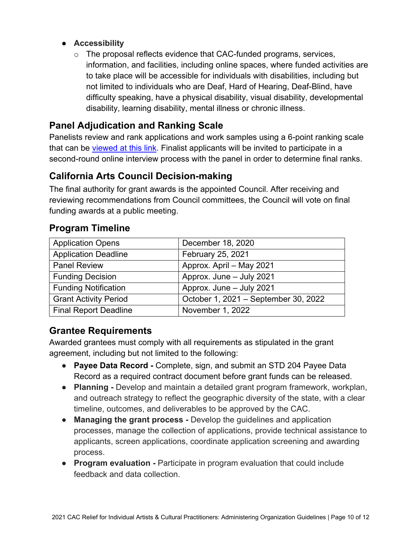#### ● **Accessibility**

 $\circ$  The proposal reflects evidence that CAC-funded programs, services, information, and facilities, including online spaces, where funded activities are to take place will be accessible for individuals with disabilities, including but not limited to individuals who are Deaf, Hard of Hearing, Deaf-Blind, have difficulty speaking, have a physical disability, visual disability, developmental disability, learning disability, mental illness or chronic illness.

#### **Panel Adjudication and Ranking Scale**

Panelists review and rank applications and work samples using a 6-point ranking scale that can be [viewed at this link.](https://arts.ca.gov/wp-content/uploads/2020/11/CAC_2021_RankingGuide.pdf) Finalist applicants will be invited to participate in a second-round online interview process with the panel in order to determine final ranks.

# **California Arts Council Decision-making**

The final authority for grant awards is the appointed Council. After receiving and reviewing recommendations from Council committees, the Council will vote on final funding awards at a public meeting.

#### **Program Timeline**

| <b>Application Opens</b>     | December 18, 2020                    |
|------------------------------|--------------------------------------|
| <b>Application Deadline</b>  | February 25, 2021                    |
| <b>Panel Review</b>          | Approx. April - May 2021             |
| <b>Funding Decision</b>      | Approx. June - July 2021             |
| <b>Funding Notification</b>  | Approx. June - July 2021             |
| <b>Grant Activity Period</b> | October 1, 2021 - September 30, 2022 |
| <b>Final Report Deadline</b> | November 1, 2022                     |

#### **Grantee Requirements**

Awarded grantees must comply with all requirements as stipulated in the grant agreement, including but not limited to the following:

- **Payee Data Record** Complete, sign, and submit an STD 204 Payee Data Record as a required contract document before grant funds can be released.
- **Planning** Develop and maintain a detailed grant program framework, workplan, and outreach strategy to reflect the geographic diversity of the state, with a clear timeline, outcomes, and deliverables to be approved by the CAC.
- **Managing the grant process -** Develop the guidelines and application processes, manage the collection of applications, provide technical assistance to applicants, screen applications, coordinate application screening and awarding process.
- **Program evaluation Participate in program evaluation that could include** feedback and data collection.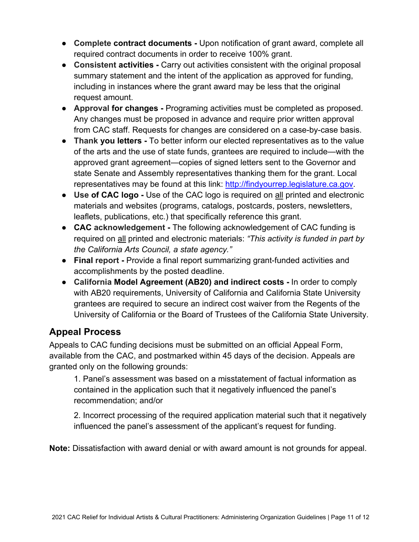- **Complete contract documents -** Upon notification of grant award, complete all required contract documents in order to receive 100% grant.
- **Consistent activities -** Carry out activities consistent with the original proposal summary statement and the intent of the application as approved for funding, including in instances where the grant award may be less that the original request amount.
- **Approval for changes -** Programing activities must be completed as proposed. Any changes must be proposed in advance and require prior written approval from CAC staff. Requests for changes are considered on a case-by-case basis.
- **Thank you letters -** To better inform our elected representatives as to the value of the arts and the use of state funds, grantees are required to include—with the approved grant agreement—copies of signed letters sent to the Governor and state Senate and Assembly representatives thanking them for the grant. Local representatives may be found at this link: [http://findyourrep.legislature.ca.gov.](http://findyourrep.legislature.ca.gov/)
- **Use of CAC logo -** Use of the CAC logo is required on all printed and electronic materials and websites (programs, catalogs, postcards, posters, newsletters, leaflets, publications, etc.) that specifically reference this grant.
- **CAC acknowledgement -** The following acknowledgement of CAC funding is required on all printed and electronic materials: *"This activity is funded in part by the California Arts Council, a state agency."*
- **Final report -** Provide a final report summarizing grant-funded activities and accomplishments by the posted deadline.
- **California Model Agreement (AB20) and indirect costs -** In order to comply with AB20 requirements, University of California and California State University grantees are required to secure an indirect cost waiver from the Regents of the University of California or the Board of Trustees of the California State University.

# **Appeal Process**

Appeals to CAC funding decisions must be submitted on an official Appeal Form, available from the CAC, and postmarked within 45 days of the decision. Appeals are granted only on the following grounds:

1. Panel's assessment was based on a misstatement of factual information as contained in the application such that it negatively influenced the panel's recommendation; and/or

2. Incorrect processing of the required application material such that it negatively influenced the panel's assessment of the applicant's request for funding.

**Note:** Dissatisfaction with award denial or with award amount is not grounds for appeal.